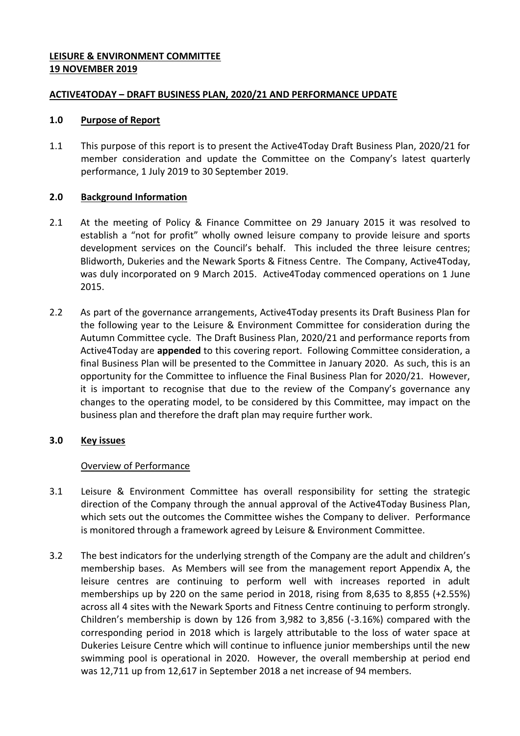## **LEISURE & ENVIRONMENT COMMITTEE 19 NOVEMBER 2019**

### **ACTIVE4TODAY – DRAFT BUSINESS PLAN, 2020/21 AND PERFORMANCE UPDATE**

### **1.0 Purpose of Report**

1.1 This purpose of this report is to present the Active4Today Draft Business Plan, 2020/21 for member consideration and update the Committee on the Company's latest quarterly performance, 1 July 2019 to 30 September 2019.

## **2.0 Background Information**

- 2.1 At the meeting of Policy & Finance Committee on 29 January 2015 it was resolved to establish a "not for profit" wholly owned leisure company to provide leisure and sports development services on the Council's behalf. This included the three leisure centres; Blidworth, Dukeries and the Newark Sports & Fitness Centre. The Company, Active4Today, was duly incorporated on 9 March 2015. Active4Today commenced operations on 1 June 2015.
- 2.2 As part of the governance arrangements, Active4Today presents its Draft Business Plan for the following year to the Leisure & Environment Committee for consideration during the Autumn Committee cycle. The Draft Business Plan, 2020/21 and performance reports from Active4Today are **appended** to this covering report. Following Committee consideration, a final Business Plan will be presented to the Committee in January 2020. As such, this is an opportunity for the Committee to influence the Final Business Plan for 2020/21. However, it is important to recognise that due to the review of the Company's governance any changes to the operating model, to be considered by this Committee, may impact on the business plan and therefore the draft plan may require further work.

# **3.0 Key issues**

# Overview of Performance

- 3.1 Leisure & Environment Committee has overall responsibility for setting the strategic direction of the Company through the annual approval of the Active4Today Business Plan, which sets out the outcomes the Committee wishes the Company to deliver. Performance is monitored through a framework agreed by Leisure & Environment Committee.
- 3.2 The best indicators for the underlying strength of the Company are the adult and children's membership bases. As Members will see from the management report Appendix A, the leisure centres are continuing to perform well with increases reported in adult memberships up by 220 on the same period in 2018, rising from 8,635 to 8,855 (+2.55%) across all 4 sites with the Newark Sports and Fitness Centre continuing to perform strongly. Children's membership is down by 126 from 3,982 to 3,856 (-3.16%) compared with the corresponding period in 2018 which is largely attributable to the loss of water space at Dukeries Leisure Centre which will continue to influence junior memberships until the new swimming pool is operational in 2020. However, the overall membership at period end was 12,711 up from 12,617 in September 2018 a net increase of 94 members.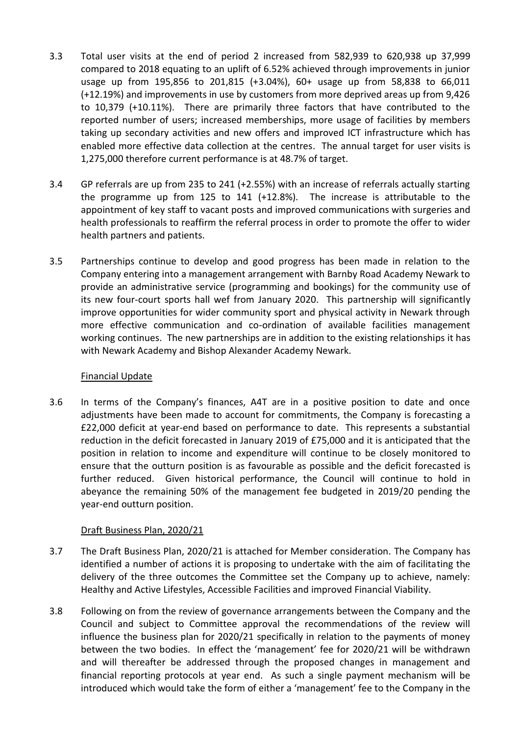- 3.3 Total user visits at the end of period 2 increased from 582,939 to 620,938 up 37,999 compared to 2018 equating to an uplift of 6.52% achieved through improvements in junior usage up from 195,856 to 201,815 (+3.04%), 60+ usage up from 58,838 to 66,011 (+12.19%) and improvements in use by customers from more deprived areas up from 9,426 to 10,379 (+10.11%). There are primarily three factors that have contributed to the reported number of users; increased memberships, more usage of facilities by members taking up secondary activities and new offers and improved ICT infrastructure which has enabled more effective data collection at the centres. The annual target for user visits is 1,275,000 therefore current performance is at 48.7% of target.
- 3.4 GP referrals are up from 235 to 241 (+2.55%) with an increase of referrals actually starting the programme up from 125 to 141 (+12.8%). The increase is attributable to the appointment of key staff to vacant posts and improved communications with surgeries and health professionals to reaffirm the referral process in order to promote the offer to wider health partners and patients.
- 3.5 Partnerships continue to develop and good progress has been made in relation to the Company entering into a management arrangement with Barnby Road Academy Newark to provide an administrative service (programming and bookings) for the community use of its new four-court sports hall wef from January 2020. This partnership will significantly improve opportunities for wider community sport and physical activity in Newark through more effective communication and co-ordination of available facilities management working continues. The new partnerships are in addition to the existing relationships it has with Newark Academy and Bishop Alexander Academy Newark.

#### Financial Update

3.6 In terms of the Company's finances, A4T are in a positive position to date and once adjustments have been made to account for commitments, the Company is forecasting a £22,000 deficit at year-end based on performance to date. This represents a substantial reduction in the deficit forecasted in January 2019 of £75,000 and it is anticipated that the position in relation to income and expenditure will continue to be closely monitored to ensure that the outturn position is as favourable as possible and the deficit forecasted is further reduced. Given historical performance, the Council will continue to hold in abeyance the remaining 50% of the management fee budgeted in 2019/20 pending the year-end outturn position.

# Draft Business Plan, 2020/21

- 3.7 The Draft Business Plan, 2020/21 is attached for Member consideration. The Company has identified a number of actions it is proposing to undertake with the aim of facilitating the delivery of the three outcomes the Committee set the Company up to achieve, namely: Healthy and Active Lifestyles, Accessible Facilities and improved Financial Viability.
- 3.8 Following on from the review of governance arrangements between the Company and the Council and subject to Committee approval the recommendations of the review will influence the business plan for 2020/21 specifically in relation to the payments of money between the two bodies. In effect the 'management' fee for 2020/21 will be withdrawn and will thereafter be addressed through the proposed changes in management and financial reporting protocols at year end. As such a single payment mechanism will be introduced which would take the form of either a 'management' fee to the Company in the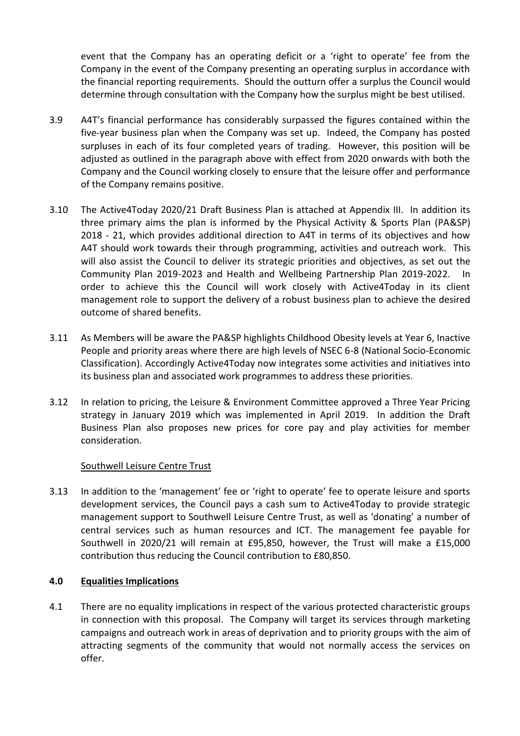event that the Company has an operating deficit or a 'right to operate' fee from the Company in the event of the Company presenting an operating surplus in accordance with the financial reporting requirements. Should the outturn offer a surplus the Council would determine through consultation with the Company how the surplus might be best utilised.

- 3.9 A4T's financial performance has considerably surpassed the figures contained within the five-year business plan when the Company was set up. Indeed, the Company has posted surpluses in each of its four completed years of trading. However, this position will be adjusted as outlined in the paragraph above with effect from 2020 onwards with both the Company and the Council working closely to ensure that the leisure offer and performance of the Company remains positive.
- 3.10 The Active4Today 2020/21 Draft Business Plan is attached at Appendix III. In addition its three primary aims the plan is informed by the Physical Activity & Sports Plan (PA&SP) 2018 - 21, which provides additional direction to A4T in terms of its objectives and how A4T should work towards their through programming, activities and outreach work. This will also assist the Council to deliver its strategic priorities and objectives, as set out the Community Plan 2019-2023 and Health and Wellbeing Partnership Plan 2019-2022. In order to achieve this the Council will work closely with Active4Today in its client management role to support the delivery of a robust business plan to achieve the desired outcome of shared benefits.
- 3.11 As Members will be aware the PA&SP highlights Childhood Obesity levels at Year 6, Inactive People and priority areas where there are high levels of NSEC 6-8 (National Socio-Economic Classification). Accordingly Active4Today now integrates some activities and initiatives into its business plan and associated work programmes to address these priorities.
- 3.12 In relation to pricing, the Leisure & Environment Committee approved a Three Year Pricing strategy in January 2019 which was implemented in April 2019. In addition the Draft Business Plan also proposes new prices for core pay and play activities for member consideration.

# Southwell Leisure Centre Trust

3.13 In addition to the 'management' fee or 'right to operate' fee to operate leisure and sports development services, the Council pays a cash sum to Active4Today to provide strategic management support to Southwell Leisure Centre Trust, as well as 'donating' a number of central services such as human resources and ICT. The management fee payable for Southwell in 2020/21 will remain at £95,850, however, the Trust will make a £15,000 contribution thus reducing the Council contribution to £80,850.

# **4.0 Equalities Implications**

4.1 There are no equality implications in respect of the various protected characteristic groups in connection with this proposal. The Company will target its services through marketing campaigns and outreach work in areas of deprivation and to priority groups with the aim of attracting segments of the community that would not normally access the services on offer.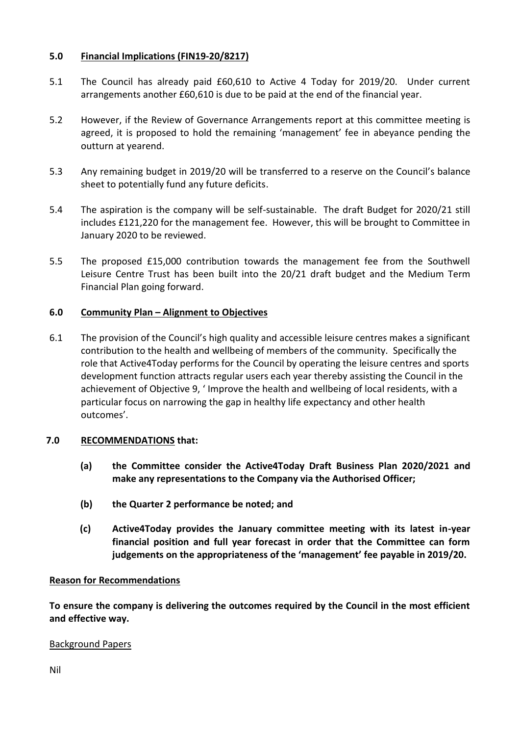## **5.0 Financial Implications (FIN19-20/8217)**

- 5.1 The Council has already paid £60,610 to Active 4 Today for 2019/20. Under current arrangements another £60,610 is due to be paid at the end of the financial year.
- 5.2 However, if the Review of Governance Arrangements report at this committee meeting is agreed, it is proposed to hold the remaining 'management' fee in abeyance pending the outturn at yearend.
- 5.3 Any remaining budget in 2019/20 will be transferred to a reserve on the Council's balance sheet to potentially fund any future deficits.
- 5.4 The aspiration is the company will be self-sustainable. The draft Budget for 2020/21 still includes £121,220 for the management fee. However, this will be brought to Committee in January 2020 to be reviewed.
- 5.5 The proposed £15,000 contribution towards the management fee from the Southwell Leisure Centre Trust has been built into the 20/21 draft budget and the Medium Term Financial Plan going forward.

## **6.0 Community Plan – Alignment to Objectives**

6.1 The provision of the Council's high quality and accessible leisure centres makes a significant contribution to the health and wellbeing of members of the community. Specifically the role that Active4Today performs for the Council by operating the leisure centres and sports development function attracts regular users each year thereby assisting the Council in the achievement of Objective 9, ' Improve the health and wellbeing of local residents, with a particular focus on narrowing the gap in healthy life expectancy and other health outcomes'.

#### **7.0 RECOMMENDATIONS that:**

- **(a) the Committee consider the Active4Today Draft Business Plan 2020/2021 and make any representations to the Company via the Authorised Officer;**
- **(b) the Quarter 2 performance be noted; and**
- **(c) Active4Today provides the January committee meeting with its latest in-year financial position and full year forecast in order that the Committee can form judgements on the appropriateness of the 'management' fee payable in 2019/20.**

#### **Reason for Recommendations**

**To ensure the company is delivering the outcomes required by the Council in the most efficient and effective way.** 

#### Background Papers

Nil